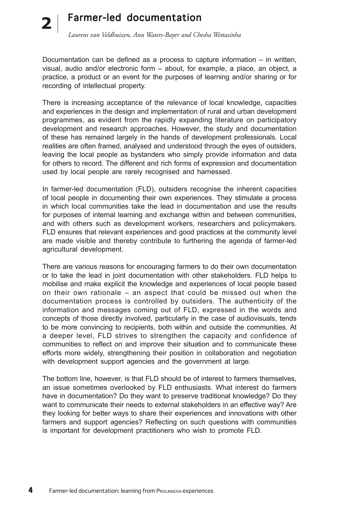### Farmer-led documentation *Laurens van Veldhuizen, Ann Waters-Bayer and Chesha Wettasinha* **2**

Documentation can be defined as a process to capture information – in written, visual, audio and/or electronic form – about, for example, a place, an object, a practice, a product or an event for the purposes of learning and/or sharing or for recording of intellectual property.

There is increasing acceptance of the relevance of local knowledge, capacities and experiences in the design and implementation of rural and urban development programmes, as evident from the rapidly expanding literature on participatory development and research approaches. However, the study and documentation of these has remained largely in the hands of development professionals. Local realities are often framed, analysed and understood through the eyes of outsiders, leaving the local people as bystanders who simply provide information and data for others to record. The different and rich forms of expression and documentation used by local people are rarely recognised and harnessed.

In farmer-led documentation (FLD), outsiders recognise the inherent capacities of local people in documenting their own experiences. They stimulate a process in which local communities take the lead in documentation and use the results for purposes of internal learning and exchange within and between communities, and with others such as development workers, researchers and policymakers. FLD ensures that relevant experiences and good practices at the community level are made visible and thereby contribute to furthering the agenda of farmer-led agricultural development.

There are various reasons for encouraging farmers to do their own documentation or to take the lead in joint documentation with other stakeholders. FLD helps to mobilise and make explicit the knowledge and experiences of local people based on their own rationale – an aspect that could be missed out when the documentation process is controlled by outsiders. The authenticity of the information and messages coming out of FLD, expressed in the words and concepts of those directly involved, particularly in the case of audiovisuals, tends to be more convincing to recipients, both within and outside the communities. At a deeper level, FLD strives to strengthen the capacity and confidence of communities to reflect on and improve their situation and to communicate these efforts more widely, strengthening their position in collaboration and negotiation with development support agencies and the government at large.

The bottom line, however, is that FLD should be of interest to farmers themselves, an issue sometimes overlooked by FLD enthusiasts. What interest do farmers have in documentation? Do they want to preserve traditional knowledge? Do they want to communicate their needs to external stakeholders in an effective way? Are they looking for better ways to share their experiences and innovations with other farmers and support agencies? Reflecting on such questions with communities is important for development practitioners who wish to promote FLD.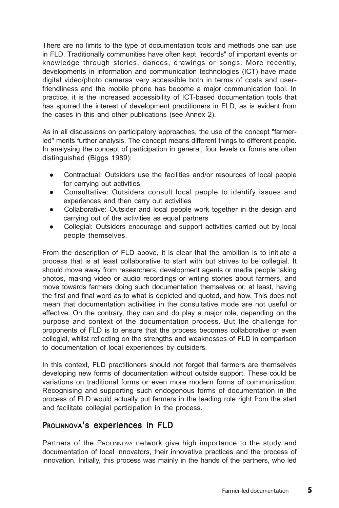There are no limits to the type of documentation tools and methods one can use in FLD. Traditionally communities have often kept "records" of important events or knowledge through stories, dances, drawings or songs. More recently, developments in information and communication technologies (ICT) have made digital video/photo cameras very accessible both in terms of costs and userfriendliness and the mobile phone has become a major communication tool. In practice, it is the increased accessibility of ICT-based documentation tools that has spurred the interest of development practitioners in FLD, as is evident from the cases in this and other publications (see Annex 2).

As in all discussions on participatory approaches, the use of the concept "farmerled" merits further analysis. The concept means different things to different people. In analysing the concept of participation in general, four levels or forms are often distinguished (Biggs 1989):

- Contractual: Outsiders use the facilities and/or resources of local people for carrying out activities
- Consultative: Outsiders consult local people to identify issues and experiences and then carry out activities
- Collaborative: Outsider and local people work together in the design and carrying out of the activities as equal partners
- Collegial: Outsiders encourage and support activities carried out by local people themselves.

From the description of FLD above, it is clear that the ambition is to initiate a process that is at least collaborative to start with but strives to be collegial. It should move away from researchers, development agents or media people taking photos, making video or audio recordings or writing stories about farmers, and move towards farmers doing such documentation themselves or, at least, having the first and final word as to what is depicted and quoted, and how. This does not mean that documentation activities in the consultative mode are not useful or effective. On the contrary, they can and do play a major role, depending on the purpose and context of the documentation process. But the challenge for proponents of FLD is to ensure that the process becomes collaborative or even collegial, whilst reflecting on the strengths and weaknesses of FLD in comparison to documentation of local experiences by outsiders.

In this context, FLD practitioners should not forget that farmers are themselves developing new forms of documentation without outside support. These could be variations on traditional forms or even more modern forms of communication. Recognising and supporting such endogenous forms of documentation in the process of FLD would actually put farmers in the leading role right from the start and facilitate collegial participation in the process.

#### PROLINNOVA's experiences in FLD

Partners of the PROLINNOVA network give high importance to the study and documentation of local innovators, their innovative practices and the process of innovation. Initially, this process was mainly in the hands of the partners, who led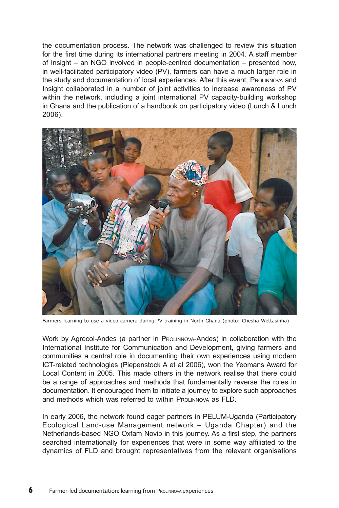the documentation process. The network was challenged to review this situation for the first time during its international partners meeting in 2004. A staff member of Insight – an NGO involved in people-centred documentation – presented how, in well-facilitated participatory video (PV), farmers can have a much larger role in the study and documentation of local experiences. After this event, PROLINNOVA and Insight collaborated in a number of joint activities to increase awareness of PV within the network, including a joint international PV capacity-building workshop in Ghana and the publication of a handbook on participatory video (Lunch & Lunch 2006).



Farmers learning to use a video camera during PV training in North Ghana (photo: Chesha Wettasinha)

Work by Agrecol-Andes (a partner in ProLINNOVA-Andes) in collaboration with the International Institute for Communication and Development, giving farmers and communities a central role in documenting their own experiences using modern ICT-related technologies (Piepenstock A et al 2006), won the Yeomans Award for Local Content in 2005. This made others in the network realise that there could be a range of approaches and methods that fundamentally reverse the roles in documentation. It encouraged them to initiate a journey to explore such approaches and methods which was referred to within PROLINNOVA as FLD.

In early 2006, the network found eager partners in PELUM-Uganda (Participatory Ecological Land-use Management network – Uganda Chapter) and the Netherlands-based NGO Oxfam Novib in this journey. As a first step, the partners searched internationally for experiences that were in some way affiliated to the dynamics of FLD and brought representatives from the relevant organisations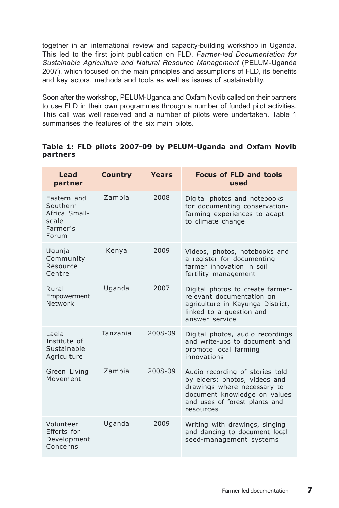together in an international review and capacity-building workshop in Uganda. This led to the first joint publication on FLD, *Farmer-led Documentation for Sustainable Agriculture and Natural Resource Management* (PELUM-Uganda 2007), which focused on the main principles and assumptions of FLD, its benefits and key actors, methods and tools as well as issues of sustainability.

Soon after the workshop, PELUM-Uganda and Oxfam Novib called on their partners to use FLD in their own programmes through a number of funded pilot activities. This call was well received and a number of pilots were undertaken. Table 1 summarises the features of the six main pilots.

|          |  |  | Table 1: FLD pilots 2007-09 by PELUM-Uganda and Oxfam Novib |  |  |
|----------|--|--|-------------------------------------------------------------|--|--|
| partners |  |  |                                                             |  |  |

| Lead<br>partner                                                        | <b>Country</b> | <b>Years</b> | <b>Focus of FLD and tools</b><br>used                                                                                                                                         |
|------------------------------------------------------------------------|----------------|--------------|-------------------------------------------------------------------------------------------------------------------------------------------------------------------------------|
| Eastern and<br>Southern<br>Africa Small-<br>scale<br>Farmer's<br>Forum | <b>Zambia</b>  | 2008         | Digital photos and notebooks<br>for documenting conservation-<br>farming experiences to adapt<br>to climate change                                                            |
| Ugunja<br>Community<br>Resource<br>Centre                              | Kenya          | 2009         | Videos, photos, notebooks and<br>a register for documenting<br>farmer innovation in soil<br>fertility management                                                              |
| Rural<br>Empowerment<br>Network                                        | Uganda         | 2007         | Digital photos to create farmer-<br>relevant documentation on<br>agriculture in Kayunga District,<br>linked to a question-and-<br>answer service                              |
| Laela<br>Institute of<br>Sustainable<br>Agriculture                    | Tanzania       | 2008-09      | Digital photos, audio recordings<br>and write-ups to document and<br>promote local farming<br>innovations                                                                     |
| Green Living<br>Movement                                               | <b>Zambia</b>  | 2008-09      | Audio-recording of stories told<br>by elders; photos, videos and<br>drawings where necessary to<br>document knowledge on values<br>and uses of forest plants and<br>resources |
| Volunteer<br>Efforts for<br>Development<br>Concerns                    | Uganda         | 2009         | Writing with drawings, singing<br>and dancing to document local<br>seed-management systems                                                                                    |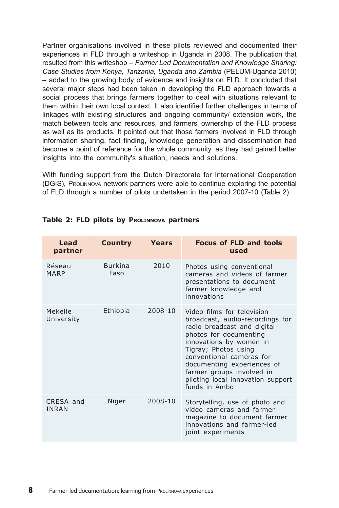Partner organisations involved in these pilots reviewed and documented their experiences in FLD through a writeshop in Uganda in 2008. The publication that resulted from this writeshop – *Farmer Led Documentation and Knowledge Sharing: Case Studies from Kenya, Tanzania, Uganda and Zambia* (PELUM-Uganda 2010) – added to the growing body of evidence and insights on FLD. It concluded that several major steps had been taken in developing the FLD approach towards a social process that brings farmers together to deal with situations relevant to them within their own local context. It also identified further challenges in terms of linkages with existing structures and ongoing community/ extension work, the match between tools and resources, and farmers' ownership of the FLD process as well as its products. It pointed out that those farmers involved in FLD through information sharing, fact finding, knowledge generation and dissemination had become a point of reference for the whole community, as they had gained better insights into the community's situation, needs and solutions.

With funding support from the Dutch Directorate for International Cooperation (DGIS), PROLINNOVA network partners were able to continue exploring the potential of FLD through a number of pilots undertaken in the period 2007-10 (Table 2).

| Lead<br>partner           | <b>Country</b>         | Years   | <b>Focus of FLD and tools</b><br>used                                                                                                                                                                                                                                                                                  |
|---------------------------|------------------------|---------|------------------------------------------------------------------------------------------------------------------------------------------------------------------------------------------------------------------------------------------------------------------------------------------------------------------------|
| Réseau<br>MARP            | <b>Burkina</b><br>Faso | 2010    | Photos using conventional<br>cameras and videos of farmer<br>presentations to document<br>farmer knowledge and<br>innovations                                                                                                                                                                                          |
| Mekelle<br>University     | Ethiopia               | 2008-10 | Video films for television<br>broadcast, audio-recordings for<br>radio broadcast and digital<br>photos for documenting<br>innovations by women in<br>Tigray; Photos using<br>conventional cameras for<br>documenting experiences of<br>farmer groups involved in<br>piloting local innovation support<br>funds in Ambo |
| CRESA and<br><b>INRAN</b> | Niger                  | 2008-10 | Storytelling, use of photo and<br>video cameras and farmer<br>magazine to document farmer<br>innovations and farmer-led<br>joint experiments                                                                                                                                                                           |

#### **Table 2: FLD pilots by PROLINNOVA partners**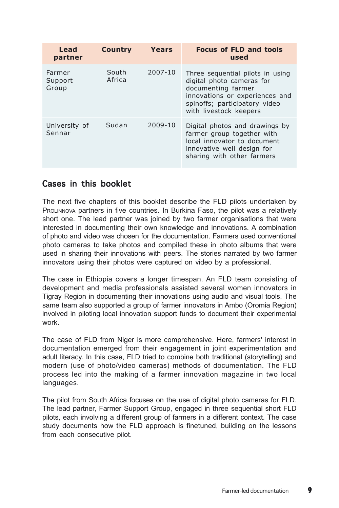| Lead<br>partner            | <b>Country</b>  | Years   | <b>Focus of FLD and tools</b><br>used                                                                                                                                            |
|----------------------------|-----------------|---------|----------------------------------------------------------------------------------------------------------------------------------------------------------------------------------|
| Farmer<br>Support<br>Group | South<br>Africa | 2007-10 | Three sequential pilots in using<br>digital photo cameras for<br>documenting farmer<br>innovations or experiences and<br>spinoffs; participatory video<br>with livestock keepers |
| University of<br>Sennar    | Sudan           | 2009-10 | Digital photos and drawings by<br>farmer group together with<br>local innovator to document<br>innovative well design for<br>sharing with other farmers                          |

## Cases in this booklet

The next five chapters of this booklet describe the FLD pilots undertaken by PROLINNOVA partners in five countries. In Burkina Faso, the pilot was a relatively short one. The lead partner was joined by two farmer organisations that were interested in documenting their own knowledge and innovations. A combination of photo and video was chosen for the documentation. Farmers used conventional photo cameras to take photos and compiled these in photo albums that were used in sharing their innovations with peers. The stories narrated by two farmer innovators using their photos were captured on video by a professional.

The case in Ethiopia covers a longer timespan. An FLD team consisting of development and media professionals assisted several women innovators in Tigray Region in documenting their innovations using audio and visual tools. The same team also supported a group of farmer innovators in Ambo (Oromia Region) involved in piloting local innovation support funds to document their experimental work.

The case of FLD from Niger is more comprehensive. Here, farmers' interest in documentation emerged from their engagement in joint experimentation and adult literacy. In this case, FLD tried to combine both traditional (storytelling) and modern (use of photo/video cameras) methods of documentation. The FLD process led into the making of a farmer innovation magazine in two local languages.

The pilot from South Africa focuses on the use of digital photo cameras for FLD. The lead partner, Farmer Support Group, engaged in three sequential short FLD pilots, each involving a different group of farmers in a different context. The case study documents how the FLD approach is finetuned, building on the lessons from each consecutive pilot.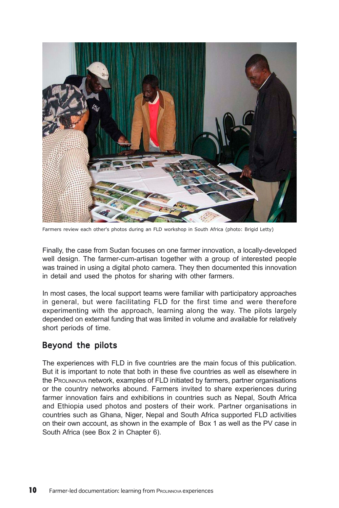

Farmers review each other's photos during an FLD workshop in South Africa (photo: Brigid Letty)

Finally, the case from Sudan focuses on one farmer innovation, a locally-developed well design. The farmer-cum-artisan together with a group of interested people was trained in using a digital photo camera. They then documented this innovation in detail and used the photos for sharing with other farmers.

In most cases, the local support teams were familiar with participatory approaches in general, but were facilitating FLD for the first time and were therefore experimenting with the approach, learning along the way. The pilots largely depended on external funding that was limited in volume and available for relatively short periods of time.

## Beyond the pilots

The experiences with FLD in five countries are the main focus of this publication. But it is important to note that both in these five countries as well as elsewhere in the PROLINNOVA network, examples of FLD initiated by farmers, partner organisations or the country networks abound. Farmers invited to share experiences during farmer innovation fairs and exhibitions in countries such as Nepal, South Africa and Ethiopia used photos and posters of their work. Partner organisations in countries such as Ghana, Niger, Nepal and South Africa supported FLD activities on their own account, as shown in the example of Box 1 as well as the PV case in South Africa (see Box 2 in Chapter 6).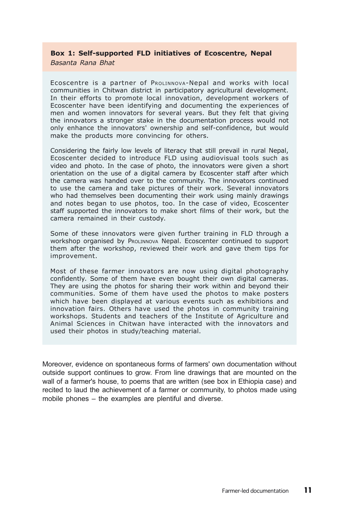#### **Box 1: Self-supported FLD initiatives of Ecoscentre, Nepal** *Basanta Rana Bhat*

Ecoscentre is a partner of PROLINNOVA-Nepal and works with local communities in Chitwan district in participatory agricultural development. In their efforts to promote local innovation, development workers of Ecoscenter have been identifying and documenting the experiences of men and women innovators for several years. But they felt that giving the innovators a stronger stake in the documentation process would not only enhance the innovators' ownership and self-confidence, but would

make the products more convincing for others.

Considering the fairly low levels of literacy that still prevail in rural Nepal, Ecoscenter decided to introduce FLD using audiovisual tools such as video and photo. In the case of photo, the innovators were given a short orientation on the use of a digital camera by Ecoscenter staff after which the camera was handed over to the community. The innovators continued to use the camera and take pictures of their work. Several innovators who had themselves been documenting their work using mainly drawings and notes began to use photos, too. In the case of video, Ecoscenter staff supported the innovators to make short films of their work, but the camera remained in their custody.

Some of these innovators were given further training in FLD through a workshop organised by PROLINNOVA Nepal. Ecoscenter continued to support them after the workshop, reviewed their work and gave them tips for improvement.

Most of these farmer innovators are now using digital photography confidently. Some of them have even bought their own digital cameras. They are using the photos for sharing their work within and beyond their communities. Some of them have used the photos to make posters which have been displayed at various events such as exhibitions and innovation fairs. Others have used the photos in community training workshops. Students and teachers of the Institute of Agriculture and Animal Sciences in Chitwan have interacted with the innovators and used their photos in study/teaching material.

Moreover, evidence on spontaneous forms of farmers' own documentation without outside support continues to grow. From line drawings that are mounted on the wall of a farmer's house, to poems that are written (see box in Ethiopia case) and recited to laud the achievement of a farmer or community, to photos made using mobile phones – the examples are plentiful and diverse.